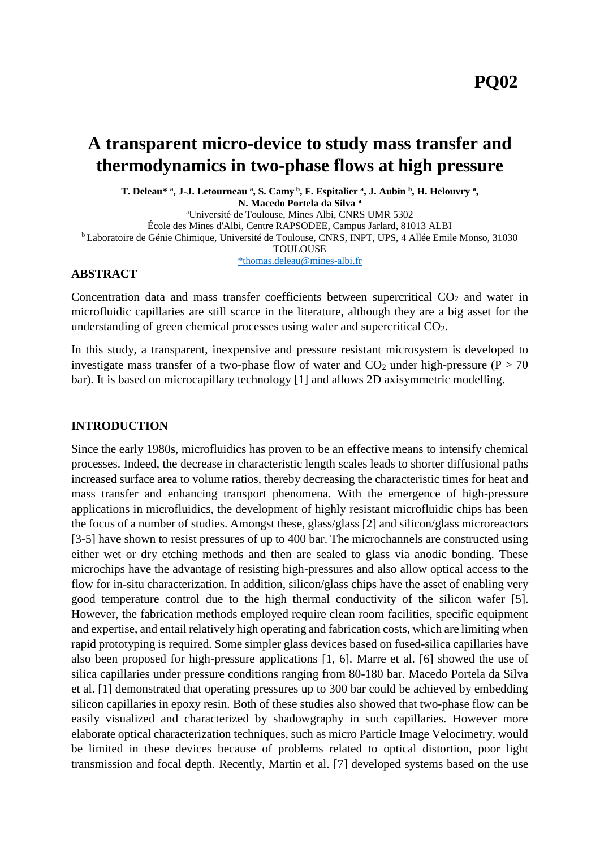# **A transparent micro-device to study mass transfer and thermodynamics in two-phase flows at high pressure**

**T. Deleau\* <sup>a</sup> , J-J. Letourneau <sup>a</sup> , S. Camy <sup>b</sup> , F. Espitalier <sup>a</sup> , J. Aubin <sup>b</sup> , H. Helouvry <sup>a</sup> ,** 

**N. Macedo Portela da Silva <sup>a</sup>**

<sup>a</sup>Université de Toulouse, Mines Albi, CNRS UMR 5302

École des Mines d'Albi, Centre RAPSODEE, Campus Jarlard, 81013 ALBI

<sup>b</sup> Laboratoire de Génie Chimique, Université de Toulouse, CNRS, INPT, UPS, 4 Allée Emile Monso, 31030

TOULOUSE

[\\*thomas.deleau@mines-albi.fr](mailto:*thomas.deleau@mines-albi.fr)

### **ABSTRACT**

Concentration data and mass transfer coefficients between supercritical CO<sub>2</sub> and water in microfluidic capillaries are still scarce in the literature, although they are a big asset for the understanding of green chemical processes using water and supercritical CO2.

In this study, a transparent, inexpensive and pressure resistant microsystem is developed to investigate mass transfer of a two-phase flow of water and  $CO<sub>2</sub>$  under high-pressure (P > 70 bar). It is based on microcapillary technology [1] and allows 2D axisymmetric modelling.

### **INTRODUCTION**

Since the early 1980s, microfluidics has proven to be an effective means to intensify chemical processes. Indeed, the decrease in characteristic length scales leads to shorter diffusional paths increased surface area to volume ratios, thereby decreasing the characteristic times for heat and mass transfer and enhancing transport phenomena. With the emergence of high-pressure applications in microfluidics, the development of highly resistant microfluidic chips has been the focus of a number of studies. Amongst these, glass/glass [2] and silicon/glass microreactors [3-5] have shown to resist pressures of up to 400 bar. The microchannels are constructed using either wet or dry etching methods and then are sealed to glass via anodic bonding. These microchips have the advantage of resisting high-pressures and also allow optical access to the flow for in-situ characterization. In addition, silicon/glass chips have the asset of enabling very good temperature control due to the high thermal conductivity of the silicon wafer [5]. However, the fabrication methods employed require clean room facilities, specific equipment and expertise, and entail relatively high operating and fabrication costs, which are limiting when rapid prototyping is required. Some simpler glass devices based on fused-silica capillaries have also been proposed for high-pressure applications [1, 6]. Marre et al. [6] showed the use of silica capillaries under pressure conditions ranging from 80-180 bar. Macedo Portela da Silva et al. [1] demonstrated that operating pressures up to 300 bar could be achieved by embedding silicon capillaries in epoxy resin. Both of these studies also showed that two-phase flow can be easily visualized and characterized by shadowgraphy in such capillaries. However more elaborate optical characterization techniques, such as micro Particle Image Velocimetry, would be limited in these devices because of problems related to optical distortion, poor light transmission and focal depth. Recently, Martin et al. [7] developed systems based on the use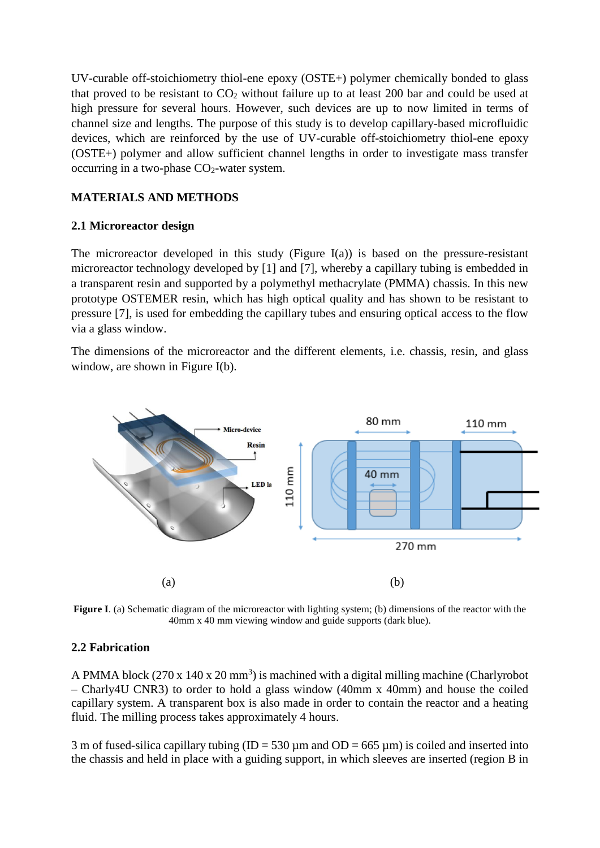UV-curable off-stoichiometry thiol-ene epoxy (OSTE+) polymer chemically bonded to glass that proved to be resistant to  $CO<sub>2</sub>$  without failure up to at least 200 bar and could be used at high pressure for several hours. However, such devices are up to now limited in terms of channel size and lengths. The purpose of this study is to develop capillary-based microfluidic devices, which are reinforced by the use of UV-curable off-stoichiometry thiol-ene epoxy (OSTE+) polymer and allow sufficient channel lengths in order to investigate mass transfer occurring in a two-phase  $CO<sub>2</sub>$ -water system.

## **MATERIALS AND METHODS**

## **2.1 Microreactor design**

The microreactor developed in this study (Figure I(a)) is based on the pressure-resistant microreactor technology developed by [1] and [7], whereby a capillary tubing is embedded in a transparent resin and supported by a polymethyl methacrylate (PMMA) chassis. In this new prototype OSTEMER resin, which has high optical quality and has shown to be resistant to pressure [7], is used for embedding the capillary tubes and ensuring optical access to the flow via a glass window.

The dimensions of the microreactor and the different elements, i.e. chassis, resin, and glass window, are shown in Figure I(b).



**Figure I**. (a) Schematic diagram of the microreactor with lighting system; (b) dimensions of the reactor with the 40mm x 40 mm viewing window and guide supports (dark blue).

### **2.2 Fabrication**

A PMMA block  $(270 \times 140 \times 20 \text{ mm}^3)$  is machined with a digital milling machine (Charlyrobot – Charly4U CNR3) to order to hold a glass window (40mm x 40mm) and house the coiled capillary system. A transparent box is also made in order to contain the reactor and a heating fluid. The milling process takes approximately 4 hours.

3 m of fused-silica capillary tubing (ID = 530  $\mu$ m and OD = 665  $\mu$ m) is coiled and inserted into the chassis and held in place with a guiding support, in which sleeves are inserted (region B in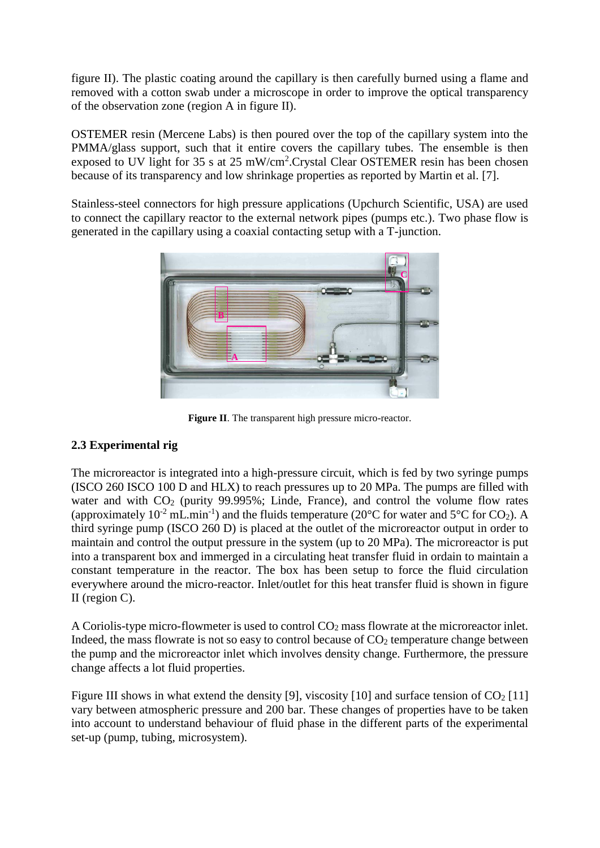figure II). The plastic coating around the capillary is then carefully burned using a flame and removed with a cotton swab under a microscope in order to improve the optical transparency of the observation zone (region A in figure II).

OSTEMER resin (Mercene Labs) is then poured over the top of the capillary system into the PMMA/glass support, such that it entire covers the capillary tubes. The ensemble is then exposed to UV light for 35 s at 25 mW/cm<sup>2</sup>. Crystal Clear OSTEMER resin has been chosen because of its transparency and low shrinkage properties as reported by Martin et al. [7].

Stainless-steel connectors for high pressure applications (Upchurch Scientific, USA) are used to connect the capillary reactor to the external network pipes (pumps etc.). Two phase flow is generated in the capillary using a coaxial contacting setup with a T-junction.



**Figure II**. The transparent high pressure micro-reactor.

# **2.3 Experimental rig**

The microreactor is integrated into a high-pressure circuit, which is fed by two syringe pumps (ISCO 260 ISCO 100 D and HLX) to reach pressures up to 20 MPa. The pumps are filled with water and with  $CO<sub>2</sub>$  (purity 99.995%; Linde, France), and control the volume flow rates (approximately 10<sup>-2</sup> mL.min<sup>-1</sup>) and the fluids temperature (20 $^{\circ}$ C for water and 5 $^{\circ}$ C for CO<sub>2</sub>). A third syringe pump (ISCO 260 D) is placed at the outlet of the microreactor output in order to maintain and control the output pressure in the system (up to 20 MPa). The microreactor is put into a transparent box and immerged in a circulating heat transfer fluid in ordain to maintain a constant temperature in the reactor. The box has been setup to force the fluid circulation everywhere around the micro-reactor. Inlet/outlet for this heat transfer fluid is shown in figure II (region C).

A Coriolis-type micro-flowmeter is used to control  $CO<sub>2</sub>$  mass flowrate at the microreactor inlet. Indeed, the mass flowrate is not so easy to control because of  $CO<sub>2</sub>$  temperature change between the pump and the microreactor inlet which involves density change. Furthermore, the pressure change affects a lot fluid properties.

Figure III shows in what extend the density [9], viscosity [10] and surface tension of  $CO<sub>2</sub>$  [11] vary between atmospheric pressure and 200 bar. These changes of properties have to be taken into account to understand behaviour of fluid phase in the different parts of the experimental set-up (pump, tubing, microsystem).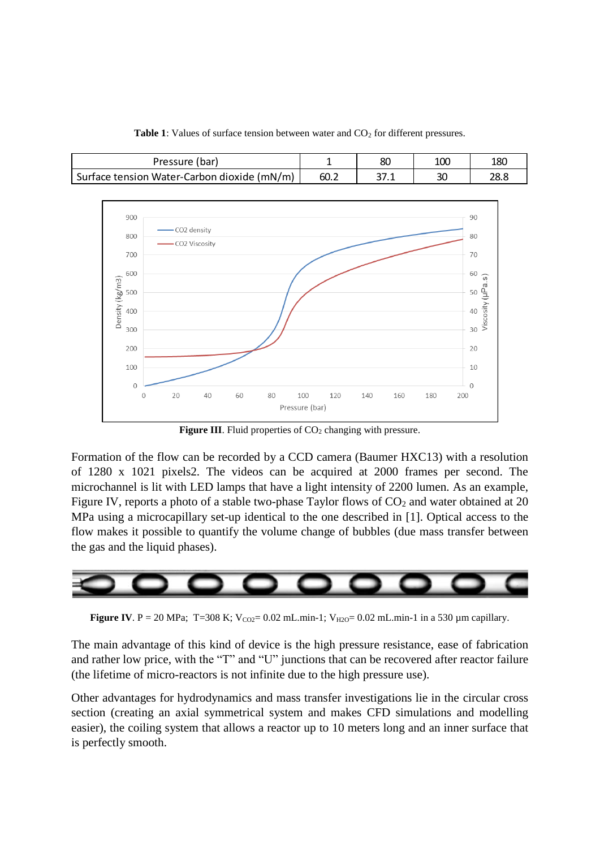

**Table 1**: Values of surface tension between water and CO<sub>2</sub> for different pressures.

Figure III. Fluid properties of CO<sub>2</sub> changing with pressure.

Formation of the flow can be recorded by a CCD camera (Baumer HXC13) with a resolution of 1280 x 1021 pixels2. The videos can be acquired at 2000 frames per second. The microchannel is lit with LED lamps that have a light intensity of 2200 lumen. As an example, Figure IV, reports a photo of a stable two-phase Taylor flows of  $CO<sub>2</sub>$  and water obtained at 20 MPa using a microcapillary set-up identical to the one described in [1]. Optical access to the flow makes it possible to quantify the volume change of bubbles (due mass transfer between the gas and the liquid phases).



**Figure IV**. P = 20 MPa; T=308 K;  $V_{CO2} = 0.02$  mL.min-1;  $V_{H2O} = 0.02$  mL.min-1 in a 530 µm capillary.

The main advantage of this kind of device is the high pressure resistance, ease of fabrication and rather low price, with the "T" and "U" junctions that can be recovered after reactor failure (the lifetime of micro-reactors is not infinite due to the high pressure use).

Other advantages for hydrodynamics and mass transfer investigations lie in the circular cross section (creating an axial symmetrical system and makes CFD simulations and modelling easier), the coiling system that allows a reactor up to 10 meters long and an inner surface that is perfectly smooth.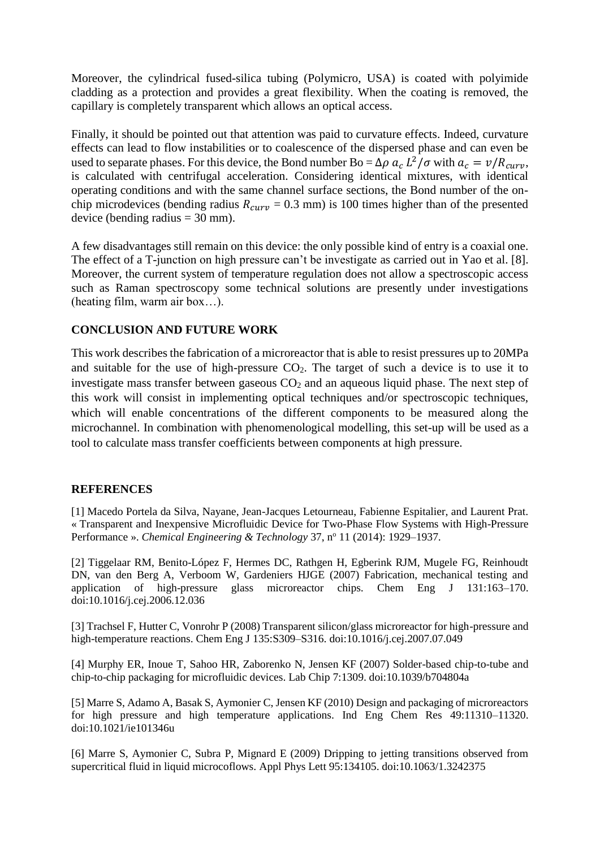Moreover, the cylindrical fused-silica tubing (Polymicro, USA) is coated with polyimide cladding as a protection and provides a great flexibility. When the coating is removed, the capillary is completely transparent which allows an optical access.

Finally, it should be pointed out that attention was paid to curvature effects. Indeed, curvature effects can lead to flow instabilities or to coalescence of the dispersed phase and can even be used to separate phases. For this device, the Bond number Bo =  $\Delta \rho a_c L^2/\sigma$  with  $a_c = v/R_{curv}$ , is calculated with centrifugal acceleration. Considering identical mixtures, with identical operating conditions and with the same channel surface sections, the Bond number of the onchip microdevices (bending radius  $R_{curv} = 0.3$  mm) is 100 times higher than of the presented device (bending radius  $=$  30 mm).

A few disadvantages still remain on this device: the only possible kind of entry is a coaxial one. The effect of a T-junction on high pressure can't be investigate as carried out in Yao et al. [8]. Moreover, the current system of temperature regulation does not allow a spectroscopic access such as Raman spectroscopy some technical solutions are presently under investigations (heating film, warm air box…).

#### **CONCLUSION AND FUTURE WORK**

This work describes the fabrication of a microreactor that is able to resist pressures up to 20MPa and suitable for the use of high-pressure  $CO<sub>2</sub>$ . The target of such a device is to use it to investigate mass transfer between gaseous  $CO<sub>2</sub>$  and an aqueous liquid phase. The next step of this work will consist in implementing optical techniques and/or spectroscopic techniques, which will enable concentrations of the different components to be measured along the microchannel. In combination with phenomenological modelling, this set-up will be used as a tool to calculate mass transfer coefficients between components at high pressure.

#### **REFERENCES**

[1] Macedo Portela da Silva, Nayane, Jean-Jacques Letourneau, Fabienne Espitalier, and Laurent Prat. « Transparent and Inexpensive Microfluidic Device for Two-Phase Flow Systems with High-Pressure Performance ». *Chemical Engineering & Technology* 37, n<sup>o</sup> 11 (2014): 1929–1937.

[2] Tiggelaar RM, Benito-López F, Hermes DC, Rathgen H, Egberink RJM, Mugele FG, Reinhoudt DN, van den Berg A, Verboom W, Gardeniers HJGE (2007) Fabrication, mechanical testing and application of high-pressure glass microreactor chips. Chem Eng J 131:163–170. doi:10.1016/j.cej.2006.12.036

[3] Trachsel F, Hutter C, Vonrohr P (2008) Transparent silicon/glass microreactor for high-pressure and high-temperature reactions. Chem Eng J 135:S309–S316. doi:10.1016/j.cej.2007.07.049

[4] Murphy ER, Inoue T, Sahoo HR, Zaborenko N, Jensen KF (2007) Solder-based chip-to-tube and chip-to-chip packaging for microfluidic devices. Lab Chip 7:1309. doi:10.1039/b704804a

[5] Marre S, Adamo A, Basak S, Aymonier C, Jensen KF (2010) Design and packaging of microreactors for high pressure and high temperature applications. Ind Eng Chem Res 49:11310–11320. doi:10.1021/ie101346u

[6] Marre S, Aymonier C, Subra P, Mignard E (2009) Dripping to jetting transitions observed from supercritical fluid in liquid microcoflows. Appl Phys Lett 95:134105. doi:10.1063/1.3242375